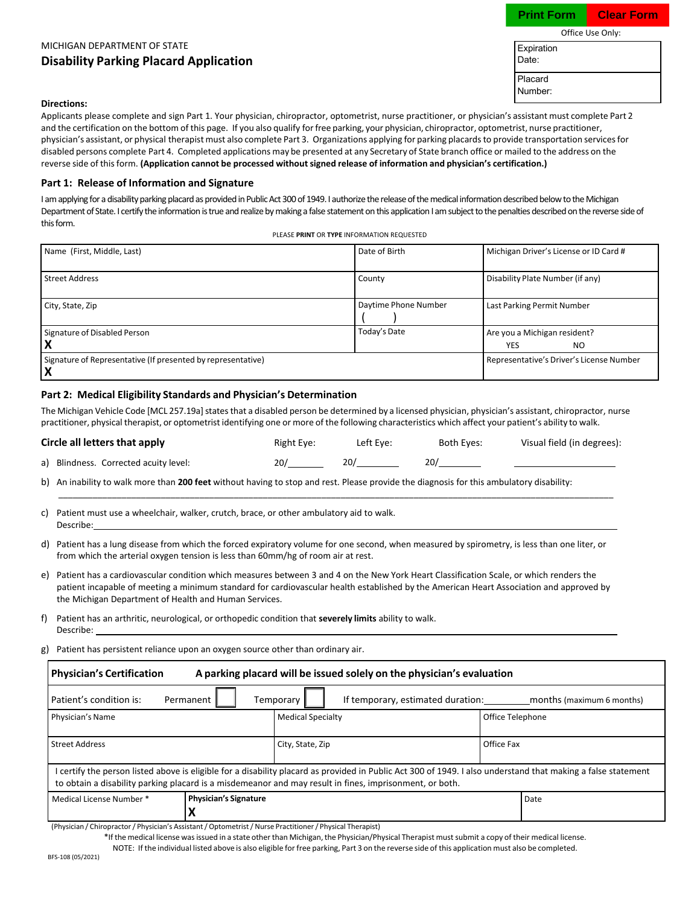### $O<sup>f</sup>$ ice Use Only: **Print Form Clear Form**

# MICHIGAN DEPARTMENT OF STATE **Disability Parking Placard Application**

|                     | Office use Only: |
|---------------------|------------------|
| Expiration<br>Date: |                  |
| Placard<br>Number:  |                  |

 $P<sub>la</sub>$ 

Exp Da

#### **Directions:**

Applicants please complete and sign Part 1. Your physician, chiropractor, optometrist, nurse practitioner, or physician's assistant must complete Part 2 and the certification on the bottom of this page. If you also qualify forfree parking, your physician, chiropractor, optometrist, nurse practitioner, physician's assistant, or physical therapist must also complete Part 3. Organizations applying for parking placardsto provide transportation servicesfor disabled persons complete Part 4. Completed applications may be presented at any Secretary of State branch office or mailed to the address on the reverse side of thisform. **(Application cannot be processed withoutsigned release of information and physician's certification.)**

#### **Part 1: Release of Information and Signature**

I am applying for a disability parking placard as provided in Public Act 300 of 1949. I authorize the release of the medical information described below to the Michigan Department of State. I certify the information is true and realize by making a false statement on this application I am subject to the penalties described on the reverse side of this form.

| PLEASE PRINT OR TYPE INFORMATION REQUESTED |  |
|--------------------------------------------|--|
|                                            |  |

| Name (First, Middle, Last)                                         | Date of Birth        | Michigan Driver's License or ID Card #   |
|--------------------------------------------------------------------|----------------------|------------------------------------------|
| <b>Street Address</b>                                              | County               | Disability Plate Number (if any)         |
| City, State, Zip                                                   | Daytime Phone Number | Last Parking Permit Number               |
| Signature of Disabled Person                                       | Today's Date         | Are you a Michigan resident?             |
|                                                                    |                      | <b>YES</b><br>N <sub>O</sub>             |
| Signature of Representative (If presented by representative)<br>IХ |                      | Representative's Driver's License Number |

### **Part 2: Medical Eligibility Standards and Physician's Determination**

The Michigan Vehicle Code [MCL 257.19a] states that a disabled person be determined by a licensed physician, physician's assistant, chiropractor, nurse practitioner, physical therapist, or optometrist identifying one or more of the following characteristics which affect your patient's ability to walk.

| Circle all letters that apply         | Right Eye: | Left Eve: | Both Eyes: | Visual field (in degrees): |
|---------------------------------------|------------|-----------|------------|----------------------------|
| a) Blindness. Corrected acuity level: | 20/        | 20/       |            |                            |
|                                       |            |           |            |                            |

\_\_\_\_\_\_\_\_\_\_\_\_\_\_\_\_\_\_\_\_\_\_\_\_\_\_\_\_\_\_\_\_\_\_\_\_\_\_\_\_\_\_\_\_\_\_\_\_\_\_\_\_\_\_\_\_\_\_\_\_\_\_\_\_\_\_\_\_\_\_\_\_\_\_\_\_\_\_\_\_\_\_\_\_\_\_\_\_\_\_\_\_\_\_\_\_\_\_\_\_\_\_\_\_\_\_\_\_\_\_\_\_\_\_

b) An inability to walk more than **200 feet** without having to stop and rest. Please provide the diagnosis for this ambulatory disability:

| c) Patient must use a wheelchair, walker, crutch, brace, or other ambulatory aid to walk. |
|-------------------------------------------------------------------------------------------|
| Describe:                                                                                 |

- d) Patient has a lung disease from which the forced expiratory volume for one second, when measured by spirometry, is less than one liter, or from which the arterial oxygen tension is less than 60mm/hg of room air at rest.
- e) Patient has a cardiovascular condition which measures between 3 and 4 on the New York Heart Classification Scale, or which renders the patient incapable of meeting a minimum standard for cardiovascular health established by the American Heart Association and approved by the Michigan Department of Health and Human Services.
- f) Patient has an arthritic, neurological, or orthopedic condition that **severely limits** ability to walk. Describe:

g) Patient has persistent reliance upon an oxygen source other than ordinary air.

| <b>Physician's Certification</b><br>A parking placard will be issued solely on the physician's evaluation                                                                                                                                                              |                                |                          |  |                  |  |
|------------------------------------------------------------------------------------------------------------------------------------------------------------------------------------------------------------------------------------------------------------------------|--------------------------------|--------------------------|--|------------------|--|
| Patient's condition is:<br>If temporary, estimated duration:<br>Permanent<br>months (maximum 6 months)<br>Temporary                                                                                                                                                    |                                |                          |  |                  |  |
| Physician's Name                                                                                                                                                                                                                                                       |                                | <b>Medical Specialty</b> |  | Office Telephone |  |
| <b>Street Address</b>                                                                                                                                                                                                                                                  | Office Fax<br>City, State, Zip |                          |  |                  |  |
| certify the person listed above is eligible for a disability placard as provided in Public Act 300 of 1949. I also understand that making a false statement<br>to obtain a disability parking placard is a misdemeanor and may result in fines, imprisonment, or both. |                                |                          |  |                  |  |
| Medical License Number *                                                                                                                                                                                                                                               | <b>Physician's Signature</b>   |                          |  | Date             |  |
|                                                                                                                                                                                                                                                                        | л                              |                          |  |                  |  |

(Physician / Chiropractor/ Physician's Assistant/ Optometrist/ Nurse Practitioner/ Physical Therapist)

\*If the medical license was issued in a state other than Michigan, the Physician/Physical Therapist must submit a copy of their medical license. NOTE: If the individual listed above is also eligible for free parking, Part 3 on the reverse side of this application must also be completed.